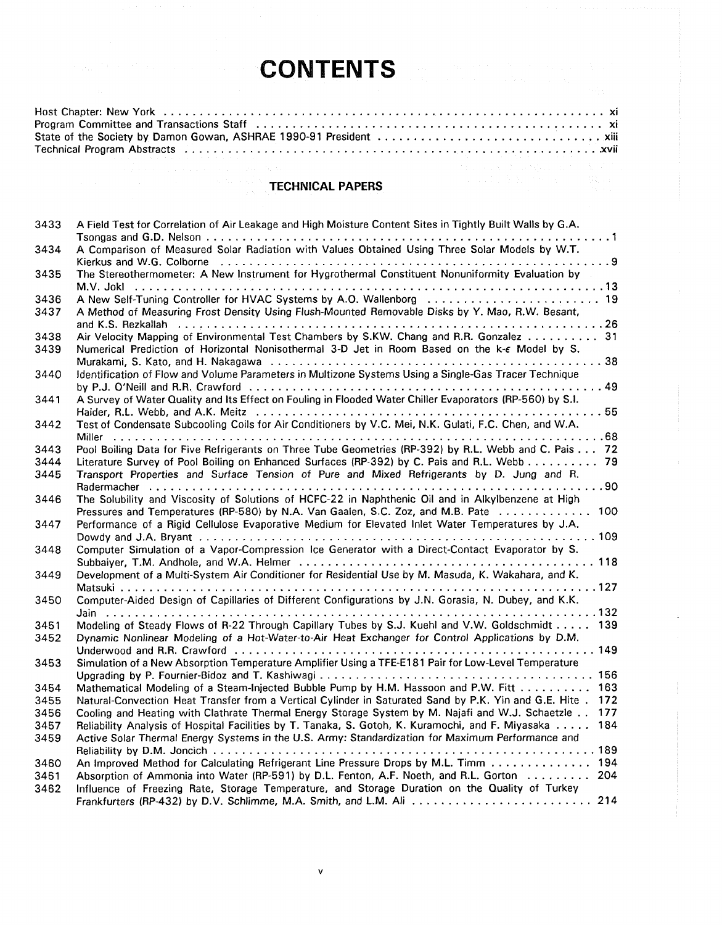## **CONTENTS**

| Program Committee and Transactions Staff (and contained accommodation contained and state and state and state |  |
|---------------------------------------------------------------------------------------------------------------|--|
|                                                                                                               |  |
|                                                                                                               |  |
|                                                                                                               |  |

## **TECHNICAL PAPERS**

| 3433 | A Field Test for Correlation of Air Leakage and High Moisture Content Sites in Tightly Built Walls by G.A.    |  |
|------|---------------------------------------------------------------------------------------------------------------|--|
|      |                                                                                                               |  |
| 3434 | A Comparison of Measured Solar Radiation with Values Obtained Using Three Solar Models by W.T.                |  |
|      | The Stereothermometer: A New Instrument for Hygrothermal Constituent Nonuniformity Evaluation by              |  |
| 3435 |                                                                                                               |  |
| 3436 | A New Self-Tuning Controller for HVAC Systems by A.O. Wallenborg  19                                          |  |
| 3437 | A Method of Measuring Frost Density Using Flush-Mounted Removable Disks by Y. Mao, R.W. Besant,               |  |
|      |                                                                                                               |  |
| 3438 | Air Velocity Mapping of Environmental Test Chambers by S.KW. Chang and R.R. Gonzalez  31                      |  |
| 3439 | Numerical Prediction of Horizontal Nonisothermal 3-D Jet in Room Based on the k-e Model by S.                 |  |
|      |                                                                                                               |  |
| 3440 | Identification of Flow and Volume Parameters in Multizone Systems Using a Single-Gas Tracer Technique         |  |
|      |                                                                                                               |  |
| 3441 | A Survey of Water Quality and Its Effect on Fouling in Flooded Water Chiller Evaporators (RP-560) by S.I.     |  |
|      |                                                                                                               |  |
| 3442 | Test of Condensate Subcooling Coils for Air Conditioners by V.C. Mei, N.K. Gulati, F.C. Chen, and W.A.        |  |
|      |                                                                                                               |  |
| 3443 | Pool Boiling Data for Five Refrigerants on Three Tube Geometries (RP-392) by R.L. Webb and C. Pais 72         |  |
| 3444 | Literature Survey of Pool Boiling on Enhanced Surfaces (RP-392) by C. Pais and R.L. Webb 79                   |  |
| 3445 | Transport Properties and Surface Tension of Pure and Mixed Refrigerants by D. Jung and R.                     |  |
|      | The Solubility and Viscosity of Solutions of HCFC-22 in Naphthenic Oil and in Alkylbenzene at High            |  |
| 3446 | Pressures and Temperatures (RP-580) by N.A. Van Gaalen, S.C. Zoz, and M.B. Pate  100                          |  |
| 3447 | Performance of a Rigid Cellulose Evaporative Medium for Elevated Inlet Water Temperatures by J.A.             |  |
|      |                                                                                                               |  |
| 3448 | Computer Simulation of a Vapor-Compression Ice Generator with a Direct-Contact Evaporator by S.               |  |
|      |                                                                                                               |  |
| 3449 | Development of a Multi-System Air Conditioner for Residential Use by M. Masuda, K. Wakahara, and K.           |  |
|      |                                                                                                               |  |
| 3450 | Computer-Aided Design of Capillaries of Different Configurations by J.N. Gorasia, N. Dubey, and K.K.          |  |
|      |                                                                                                               |  |
| 3451 | Modeling of Steady Flows of R-22 Through Capillary Tubes by S.J. Kuehl and V.W. Goldschmidt 139               |  |
| 3452 | Dynamic Nonlinear Modeling of a Hot-Water-to-Air Heat Exchanger for Control Applications by D.M.              |  |
|      |                                                                                                               |  |
| 3453 | Simulation of a New Absorption Temperature Amplifier Using a TFE-E181 Pair for Low-Level Temperature          |  |
|      |                                                                                                               |  |
| 3454 | Mathematical Modeling of a Steam-Injected Bubble Pump by H.M. Hassoon and P.W. Fitt  163                      |  |
| 3455 | Natural-Convection Heat Transfer from a Vertical Cylinder in Saturated Sand by P.K. Yin and G.E. Hite.<br>172 |  |
| 3456 | 177<br>Cooling and Heating with Clathrate Thermal Energy Storage System by M. Najafi and W.J. Schaetzle       |  |
| 3457 | Reliability Analysis of Hospital Facilities by T. Tanaka, S. Gotoh, K. Kuramochi, and F. Miyasaka<br>184      |  |
| 3459 | Active Solar Thermal Energy Systems in the U.S. Army: Standardization for Maximum Performance and             |  |
| 3460 | An Improved Method for Calculating Refrigerant Line Pressure Drops by M.L. Timm 194                           |  |
| 3461 | Absorption of Ammonia into Water (RP-591) by D.L. Fenton, A.F. Noeth, and R.L. Gorton 204                     |  |
| 3462 | Influence of Freezing Rate, Storage Temperature, and Storage Duration on the Quality of Turkey                |  |
|      |                                                                                                               |  |
|      |                                                                                                               |  |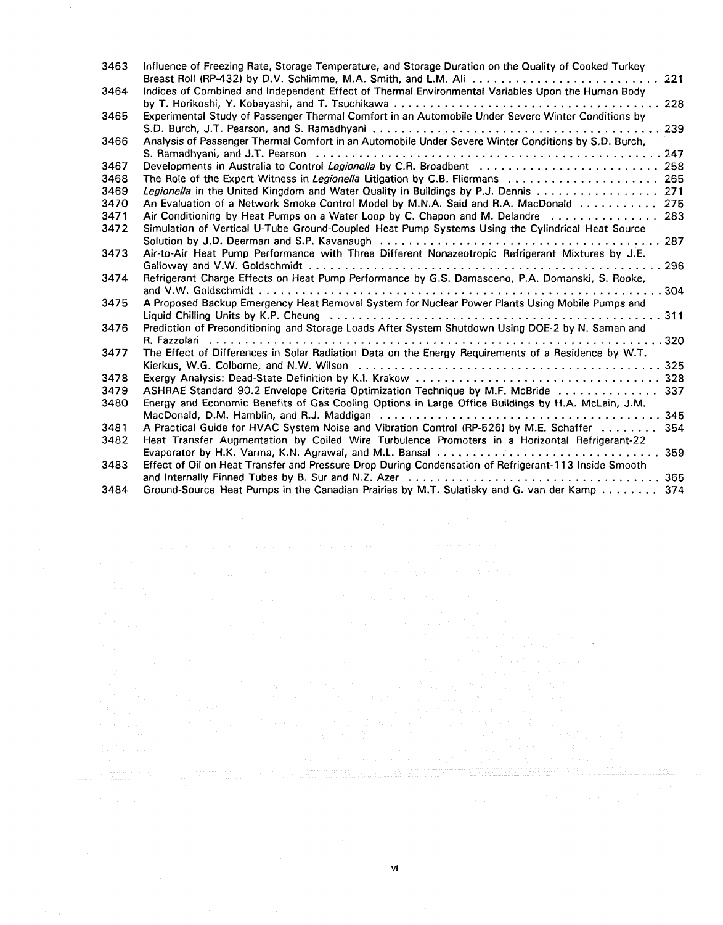| 3463 | Influence of Freezing Rate, Storage Temperature, and Storage Duration on the Quality of Cooked Turkey<br>Breast Roll (RP-432) by D.V. Schlimme, M.A. Smith, and L.M. Ali  221 |
|------|-------------------------------------------------------------------------------------------------------------------------------------------------------------------------------|
| 3464 | Indices of Combined and Independent Effect of Thermal Environmental Variables Upon the Human Body                                                                             |
|      | 228                                                                                                                                                                           |
| 3465 | Experimental Study of Passenger Thermal Comfort in an Automobile Under Severe Winter Conditions by                                                                            |
|      | 239                                                                                                                                                                           |
| 3466 | Analysis of Passenger Thermal Comfort in an Automobile Under Severe Winter Conditions by S.D. Burch,                                                                          |
|      | 247                                                                                                                                                                           |
| 3467 | Developments in Australia to Control Legionella by C.R. Broadbent  258                                                                                                        |
| 3468 | The Role of the Expert Witness in Legionella Litigation by C.B. Fliermans  265                                                                                                |
| 3469 | Legionella in the United Kingdom and Water Quality in Buildings by P.J. Dennis  271                                                                                           |
| 3470 | An Evaluation of a Network Smoke Control Model by M.N.A. Said and R.A. MacDonald 275                                                                                          |
| 3471 | Air Conditioning by Heat Pumps on a Water Loop by C. Chapon and M. Delandre  283                                                                                              |
| 3472 | Simulation of Vertical U-Tube Ground-Coupled Heat Pump Systems Using the Cylindrical Heat Source                                                                              |
|      |                                                                                                                                                                               |
| 3473 | Air-to-Air Heat Pump Performance with Three Different Nonazeotropic Refrigerant Mixtures by J.E.                                                                              |
|      | 296                                                                                                                                                                           |
| 3474 | Refrigerant Charge Effects on Heat Pump Performance by G.S. Damasceno, P.A. Domanski, S. Rooke,                                                                               |
|      |                                                                                                                                                                               |
| 3475 | A Proposed Backup Emergency Heat Removal System for Nuclear Power Plants Using Mobile Pumps and                                                                               |
|      |                                                                                                                                                                               |
| 3476 | Prediction of Preconditioning and Storage Loads After System Shutdown Using DOE-2 by N. Saman and                                                                             |
|      |                                                                                                                                                                               |
| 3477 | The Effect of Differences in Solar Radiation Data on the Energy Requirements of a Residence by W.T.                                                                           |
|      |                                                                                                                                                                               |
| 3478 |                                                                                                                                                                               |
| 3479 | ASHRAE Standard 90.2 Envelope Criteria Optimization Technique by M.F. McBride  337                                                                                            |
| 3480 | Energy and Economic Benefits of Gas Cooling Options in Large Office Buildings by H.A. McLain, J.M.                                                                            |
|      |                                                                                                                                                                               |
| 3481 | A Practical Guide for HVAC System Noise and Vibration Control (RP-526) by M.E. Schaffer<br>354                                                                                |
| 3482 | Heat Transfer Augmentation by Coiled Wire Turbulence Promoters in a Horizontal Refrigerant-22                                                                                 |
|      |                                                                                                                                                                               |
| 3483 | Effect of Oil on Heat Transfer and Pressure Drop During Condensation of Refrigerant-113 Inside Smooth                                                                         |
|      |                                                                                                                                                                               |
| 3484 | Ground-Source Heat Pumps in the Canadian Prairies by M.T. Sulatisky and G. van der Kamp 374                                                                                   |

 $\hat{\boldsymbol{\theta}}$ 

 $\mathcal{L}_{\mathcal{A}}$ 

 $\omega_{\rm c}$  .

<u>titu näitettiin ja saanua valmistele valmistele valmistele valmistele valmistele valmistele valmistele valmis</u>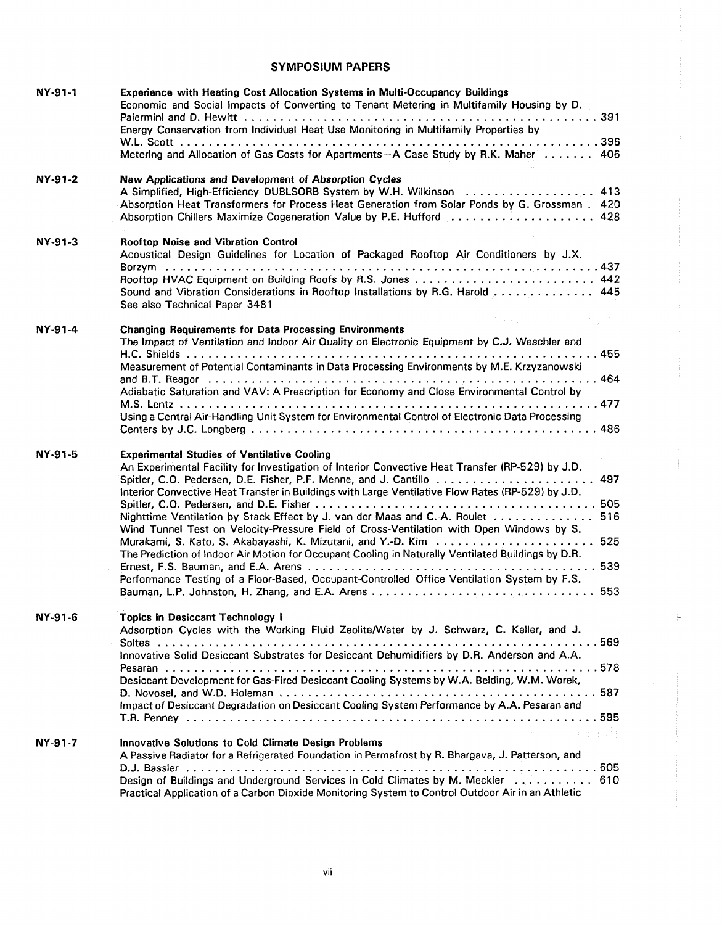## **SYMPOSIUM PAPERS**

| NY-91-1                            | <b>Experience with Heating Cost Allocation Systems in Multi-Occupancy Buildings</b><br>Economic and Social Impacts of Converting to Tenant Metering in Multifamily Housing by D.<br>Energy Conservation from Individual Heat Use Monitoring in Multifamily Properties by                                                                                                                                                                                                                                                                                                                                                                                                                                               |
|------------------------------------|------------------------------------------------------------------------------------------------------------------------------------------------------------------------------------------------------------------------------------------------------------------------------------------------------------------------------------------------------------------------------------------------------------------------------------------------------------------------------------------------------------------------------------------------------------------------------------------------------------------------------------------------------------------------------------------------------------------------|
|                                    | Metering and Allocation of Gas Costs for Apartments--A Case Study by R.K. Maher 406                                                                                                                                                                                                                                                                                                                                                                                                                                                                                                                                                                                                                                    |
| NY-91-2                            | New Applications and Development of Absorption Cycles<br>A Simplified, High-Efficiency DUBLSORB System by W.H. Wilkinson  413<br>Absorption Heat Transformers for Process Heat Generation from Solar Ponds by G. Grossman . 420<br>Absorption Chillers Maximize Cogeneration Value by P.E. Hufford  428                                                                                                                                                                                                                                                                                                                                                                                                                |
| NY-91-3                            | Rooftop Noise and Vibration Control<br>Acoustical Design Guidelines for Location of Packaged Rooftop Air Conditioners by J.X.<br>Rooftop HVAC Equipment on Building Roofs by R.S. Jones  442<br>Sound and Vibration Considerations in Rooftop Installations by R.G. Harold  445<br>See also Technical Paper 3481                                                                                                                                                                                                                                                                                                                                                                                                       |
| NY-91-4                            | <b>Changing Requirements for Data Processing Environments</b><br>The Impact of Ventilation and Indoor Air Quality on Electronic Equipment by C.J. Weschler and<br>Measurement of Potential Contaminants in Data Processing Environments by M.E. Krzyzanowski<br>Adiabatic Saturation and VAV: A Prescription for Economy and Close Environmental Control by<br>Using a Central Air-Handling Unit System for Environmental Control of Electronic Data Processing                                                                                                                                                                                                                                                        |
| NY-91-5                            | <b>Experimental Studies of Ventilative Cooling</b><br>An Experimental Facility for Investigation of Interior Convective Heat Transfer (RP-529) by J.D.<br>Spitler, C.O. Pedersen, D.E. Fisher, P.F. Menne, and J. Cantillo  497<br>Interior Convective Heat Transfer in Buildings with Large Ventilative Flow Rates (RP-529) by J.D.<br>Nighttime Ventilation by Stack Effect by J. van der Maas and C.-A. Roulet 516<br>Wind Tunnel Test on Velocity-Pressure Field of Cross-Ventilation with Open Windows by S.<br>The Prediction of Indoor Air Motion for Occupant Cooling in Naturally Ventilated Buildings by D.R.<br>Performance Testing of a Floor-Based, Occupant-Controlled Office Ventilation System by F.S. |
| NY-91-6<br>$\alpha\in\mathbb{R}^n$ | <b>Topics in Desiccant Technology I</b><br>Adsorption Cycles with the Working Fluid Zeolite/Water by J. Schwarz, C. Keller, and J.<br>Innovative Solid Desiccant Substrates for Desiccant Dehumidifiers by D.R. Anderson and A.A.<br>Desiccant Development for Gas-Fired Desiccant Cooling Systems by W.A. Belding, W.M. Worek,<br>Impact of Desiccant Degradation on Desiccant Cooling System Performance by A.A. Pesaran and                                                                                                                                                                                                                                                                                         |
| NY-91-7                            | <b>Contract Contract And Aff</b><br><b>Innovative Solutions to Cold Climate Design Problems</b><br>A Passive Radiator for a Refrigerated Foundation in Permafrost by R. Bhargava, J. Patterson, and<br>Design of Buildings and Underground Services in Cold Climates by M. Meckler  610<br>Practical Application of a Carbon Dioxide Monitoring System to Control Outdoor Air in an Athletic                                                                                                                                                                                                                                                                                                                           |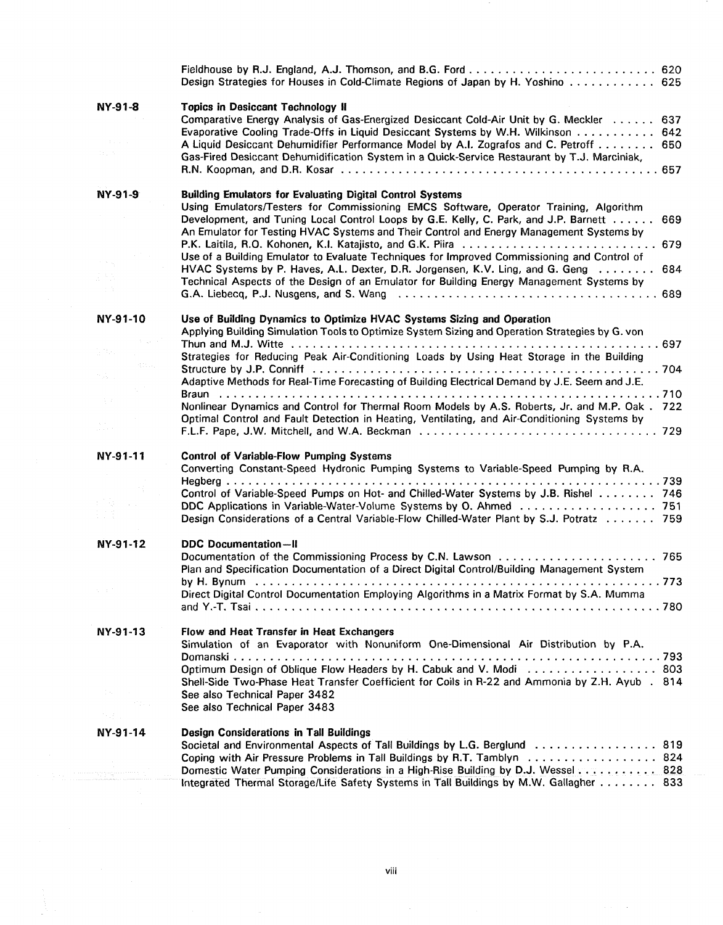|                                              | Design Strategies for Houses in Cold-Climate Regions of Japan by H. Yoshino  625                                                                                                                                                                                                                                                                                                                                                                                                                                                                                                                                                                                                                       |
|----------------------------------------------|--------------------------------------------------------------------------------------------------------------------------------------------------------------------------------------------------------------------------------------------------------------------------------------------------------------------------------------------------------------------------------------------------------------------------------------------------------------------------------------------------------------------------------------------------------------------------------------------------------------------------------------------------------------------------------------------------------|
| <b>NY-91-8</b>                               | <b>Topics in Desiccant Technology II</b><br>Comparative Energy Analysis of Gas-Energized Desiccant Cold-Air Unit by G. Meckler 637<br>Evaporative Cooling Trade-Offs in Liquid Desiccant Systems by W.H. Wilkinson 642<br>A Liquid Desiccant Dehumidifier Performance Model by A.I. Zografos and C. Petroff 650<br>Gas-Fired Desiccant Dehumidification System in a Quick-Service Restaurant by T.J. Marciniak,                                                                                                                                                                                                                                                                                        |
| NY-91-9<br>in S                              | <b>Building Emulators for Evaluating Digital Control Systems</b><br>Using Emulators/Testers for Commissioning EMCS Software, Operator Training, Algorithm<br>Development, and Tuning Local Control Loops by G.E. Kelly, C. Park, and J.P. Barnett 669<br>An Emulator for Testing HVAC Systems and Their Control and Energy Management Systems by<br>P.K. Laitila, R.O. Kohonen, K.I. Katajisto, and G.K. Piira  679<br>Use of a Building Emulator to Evaluate Techniques for Improved Commissioning and Control of<br>HVAC Systems by P. Haves, A.L. Dexter, D.R. Jorgensen, K.V. Ling, and G. Geng<br>684<br>Technical Aspects of the Design of an Emulator for Building Energy Management Systems by |
| NY-91-10<br>979.<br>€ltik,<br>tale a<br>-5.7 | Use of Building Dynamics to Optimize HVAC Systems Sizing and Operation<br>Applying Building Simulation Tools to Optimize System Sizing and Operation Strategies by G. von<br>Strategies for Reducing Peak Air-Conditioning Loads by Using Heat Storage in the Building<br>Adaptive Methods for Real-Time Forecasting of Building Electrical Demand by J.E. Seem and J.E.<br>Nonlinear Dynamics and Control for Thermal Room Models by A.S. Roberts, Jr. and M.P. Oak . 722<br>Optimal Control and Fault Detection in Heating, Ventilating, and Air-Conditioning Systems by                                                                                                                             |
| NY-91-11                                     | <b>Control of Variable-Flow Pumping Systems</b><br>Converting Constant-Speed Hydronic Pumping Systems to Variable-Speed Pumping by R.A.<br>Control of Variable-Speed Pumps on Hot- and Chilled-Water Systems by J.B. Rishel 746<br>Design Considerations of a Central Variable-Flow Chilled-Water Plant by S.J. Potratz 759                                                                                                                                                                                                                                                                                                                                                                            |
| NY-91-12<br>a a f                            | <b>DDC</b> Documentation-II<br>Plan and Specification Documentation of a Direct Digital Control/Building Management System<br>by H. Bynum<br>773<br>Direct Digital Control Documentation Employing Algorithms in a Matrix Format by S.A. Mumma                                                                                                                                                                                                                                                                                                                                                                                                                                                         |
| NY-91-13<br>David San                        | Flow and Heat Transfer in Heat Exchangers<br>Simulation of an Evaporator with Nonuniform One-Dimensional Air Distribution by P.A.<br>Optimum Design of Oblique Flow Headers by H. Cabuk and V. Modi  803<br>Shell-Side Two-Phase Heat Transfer Coefficient for Coils in R-22 and Ammonia by Z.H. Ayub . 814<br>See also Technical Paper 3482<br>See also Technical Paper 3483                                                                                                                                                                                                                                                                                                                          |
| たけい<br>NY-91-14<br>ang pangagaan ang mga p   | Design Considerations in Tall Buildings<br>Societal and Environmental Aspects of Tall Buildings by L.G. Berglund  819<br>Coping with Air Pressure Problems in Tall Buildings by R.T. Tamblyn 824<br>Domestic Water Pumping Considerations in a High-Rise Building by D.J. Wessel  828<br>Integrated Thermal Storage/Life Safety Systems in Tall Buildings by M.W. Gallagher 833                                                                                                                                                                                                                                                                                                                        |